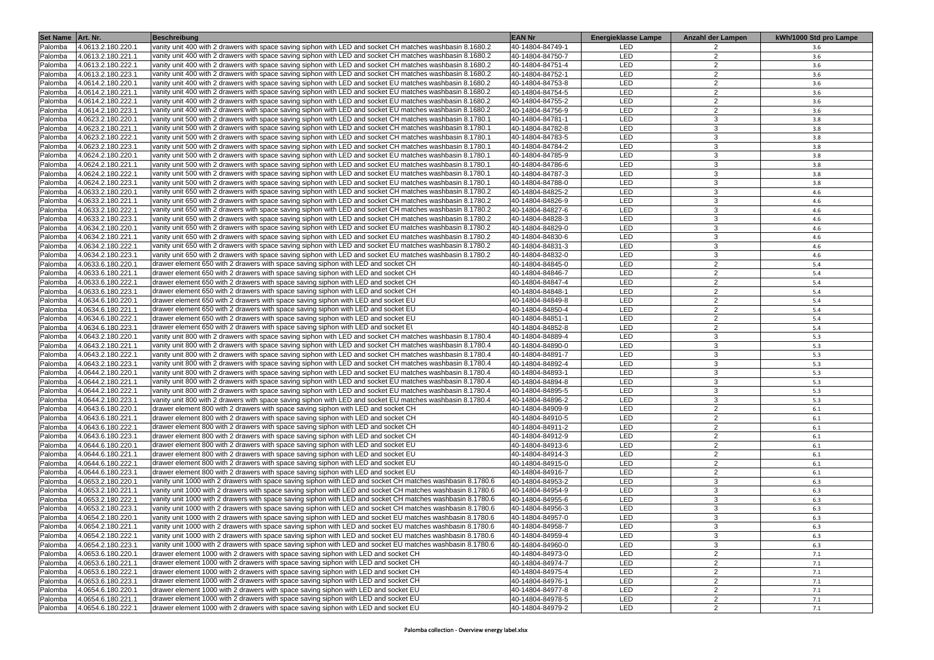| Set Name Art. Nr.             | <b>Beschreibung</b>                                                                                        | <b>EAN Nr</b>    | <b>Energieklasse Lampe</b> | Anzahl der Lampen | kWh/1000 Std pro Lampe |
|-------------------------------|------------------------------------------------------------------------------------------------------------|------------------|----------------------------|-------------------|------------------------|
| 4.0613.2.180.220.1<br>Palomba | vanity unit 400 with 2 drawers with space saving siphon with LED and socket CH matches washbasin 8.1680.2  | 40-14804-84749-1 | LED                        | 2                 | 3.6                    |
| 4.0613.2.180.221.1<br>Palomba | vanity unit 400 with 2 drawers with space saving siphon with LED and socket CH matches washbasin 8.1680.2  | 40-14804-84750-7 | LED                        | 2                 | 3.6                    |
| 4.0613.2.180.222.1<br>Palomba | vanity unit 400 with 2 drawers with space saving siphon with LED and socket CH matches washbasin 8.1680.2  | 40-14804-84751-4 | LED                        | $\overline{2}$    | 3.6                    |
| 4.0613.2.180.223.1<br>Palomba | vanity unit 400 with 2 drawers with space saving siphon with LED and socket CH matches washbasin 8.1680.2  | 40-14804-84752-1 | LED                        | 2                 | 3.6                    |
| 4.0614.2.180.220.1<br>Palomba | vanity unit 400 with 2 drawers with space saving siphon with LED and socket EU matches washbasin 8.1680.2  | 40-14804-84753-8 | LED                        | $\overline{2}$    | 3.6                    |
| 4.0614.2.180.221.1<br>Palomba | vanity unit 400 with 2 drawers with space saving siphon with LED and socket EU matches washbasin 8.1680.2  | 40-14804-84754-5 | LED                        | 2                 | 3.6                    |
| 4.0614.2.180.222.1<br>Palomba | vanity unit 400 with 2 drawers with space saving siphon with LED and socket EU matches washbasin 8.1680.2  | 40-14804-84755-2 | LED                        | 2                 | 3.6                    |
| 4.0614.2.180.223.1<br>Palomba | vanity unit 400 with 2 drawers with space saving siphon with LED and socket EU matches washbasin 8.1680.2  | 40-14804-84756-9 | LED                        | 2                 | 3.6                    |
| Palomba<br>4.0623.2.180.220.1 | vanity unit 500 with 2 drawers with space saving siphon with LED and socket CH matches washbasin 8.1780.1  | 40-14804-84781-1 | LED                        | 3                 | 3.8                    |
| 4.0623.2.180.221.1<br>Palomba | vanity unit 500 with 2 drawers with space saving siphon with LED and socket CH matches washbasin 8.1780.1  | 40-14804-84782-8 | LED                        | 3                 | 3.8                    |
| 4.0623.2.180.222.1<br>Palomba | vanity unit 500 with 2 drawers with space saving siphon with LED and socket CH matches washbasin 8.1780.1  | 40-14804-84783-5 | LED                        | 3                 | 3.8                    |
| 4.0623.2.180.223.1<br>Palomba | vanity unit 500 with 2 drawers with space saving siphon with LED and socket CH matches washbasin 8.1780.1  | 40-14804-84784-2 | LED                        | 3                 | 3.8                    |
| 4.0624.2.180.220.1<br>Palomba | vanity unit 500 with 2 drawers with space saving siphon with LED and socket EU matches washbasin 8.1780.1  | 40-14804-84785-9 | LED                        | 3                 | 3.8                    |
| 4.0624.2.180.221.1<br>Palomba | vanity unit 500 with 2 drawers with space saving siphon with LED and socket EU matches washbasin 8.1780.1  | 40-14804-84786-6 | LED                        | 3                 | 3.8                    |
| 4.0624.2.180.222.1<br>Palomba | vanity unit 500 with 2 drawers with space saving siphon with LED and socket EU matches washbasin 8.1780.1  | 40-14804-84787-3 | LED                        | 3                 | 3.8                    |
| 4.0624.2.180.223.1<br>Palomba | vanity unit 500 with 2 drawers with space saving siphon with LED and socket EU matches washbasin 8.1780.1  | 40-14804-84788-0 | LED                        | 3                 | 3.8                    |
| 4.0633.2.180.220.1<br>Palomba | vanity unit 650 with 2 drawers with space saving siphon with LED and socket CH matches washbasin 8.1780.2  | 40-14804-84825-2 | LED                        | 3                 | 4.6                    |
| 4.0633.2.180.221.1<br>Palomba | vanity unit 650 with 2 drawers with space saving siphon with LED and socket CH matches washbasin 8.1780.2  | 40-14804-84826-9 | LED                        | 3                 | 4.6                    |
| 4.0633.2.180.222.1<br>Palomba | vanity unit 650 with 2 drawers with space saving siphon with LED and socket CH matches washbasin 8.1780.2  | 40-14804-84827-6 | LED                        | 3                 | 4.6                    |
| Palomba<br>4.0633.2.180.223.1 | vanity unit 650 with 2 drawers with space saving siphon with LED and socket CH matches washbasin 8.1780.2  | 40-14804-84828-3 | LED                        | 3                 | 4.6                    |
| 4.0634.2.180.220.1<br>Palomba | vanity unit 650 with 2 drawers with space saving siphon with LED and socket EU matches washbasin 8.1780.2  | 40-14804-84829-0 | LED                        | 3                 | 4.6                    |
| 4.0634.2.180.221.1<br>Palomba | vanity unit 650 with 2 drawers with space saving siphon with LED and socket EU matches washbasin 8.1780.2  | 40-14804-84830-6 | LED                        | 3                 | 4.6                    |
| 4.0634.2.180.222.1<br>Palomba | vanity unit 650 with 2 drawers with space saving siphon with LED and socket EU matches washbasin 8.1780.2  | 40-14804-84831-3 | LED                        | 3                 | 4.6                    |
| 4.0634.2.180.223.1<br>Palomba | vanity unit 650 with 2 drawers with space saving siphon with LED and socket EU matches washbasin 8.1780.2  | 40-14804-84832-0 | LED                        | 3                 | 4.6                    |
| 4.0633.6.180.220.1<br>Palomba | drawer element 650 with 2 drawers with space saving siphon with LED and socket CH                          | 40-14804-84845-0 | LED                        | 2                 | 5.4                    |
| 4.0633.6.180.221.1<br>Palomba | drawer element 650 with 2 drawers with space saving siphon with LED and socket CH                          | 40-14804-84846-7 | LED                        | 2                 | 5.4                    |
| 4.0633.6.180.222.1<br>Palomba | drawer element 650 with 2 drawers with space saving siphon with LED and socket CH                          | 40-14804-84847-4 | LED                        | 2                 | 5.4                    |
| 4.0633.6.180.223.1<br>Palomba | drawer element 650 with 2 drawers with space saving siphon with LED and socket CH                          | 40-14804-84848-1 | LED                        | 2                 | 5.4                    |
| 4.0634.6.180.220.1<br>Palomba | drawer element 650 with 2 drawers with space saving siphon with LED and socket EU                          | 40-14804-84849-8 | LED                        | 2                 | 5.4                    |
| 4.0634.6.180.221.1<br>Palomba | drawer element 650 with 2 drawers with space saving siphon with LED and socket EU                          | 40-14804-84850-4 | LED                        | $\overline{2}$    | 5.4                    |
| 4.0634.6.180.222.1<br>Palomba | drawer element 650 with 2 drawers with space saving siphon with LED and socket EU                          | 40-14804-84851-1 | LED                        | 2                 | 5.4                    |
| 4.0634.6.180.223.1<br>Palomba | drawer element 650 with 2 drawers with space saving siphon with LED and socket El                          | 40-14804-84852-8 | LED                        | $\overline{2}$    | 5.4                    |
| 4.0643.2.180.220.1<br>Palomba | vanity unit 800 with 2 drawers with space saving siphon with LED and socket CH matches washbasin 8.1780.4  | 40-14804-84889-4 | LED                        | 3                 | 5.3                    |
| Palomba<br>4.0643.2.180.221.1 | vanity unit 800 with 2 drawers with space saving siphon with LED and socket CH matches washbasin 8.1780.4  | 40-14804-84890-0 | LED                        | 3                 | 5.3                    |
| 4.0643.2.180.222.1<br>Palomba | vanity unit 800 with 2 drawers with space saving siphon with LED and socket CH matches washbasin 8.1780.4  | 40-14804-84891-7 | LED                        | 3                 | 5.3                    |
| 4.0643.2.180.223.1<br>Palomba | vanity unit 800 with 2 drawers with space saving siphon with LED and socket CH matches washbasin 8.1780.4  | 40-14804-84892-4 | LED                        | 3                 | 5.3                    |
| 4.0644.2.180.220.1<br>Palomba | vanity unit 800 with 2 drawers with space saving siphon with LED and socket EU matches washbasin 8.1780.4  | 40-14804-84893-1 | LED                        | 3                 | 5.3                    |
| 4.0644.2.180.221.1<br>Palomba | vanity unit 800 with 2 drawers with space saving siphon with LED and socket EU matches washbasin 8.1780.4  | 40-14804-84894-8 | LED                        | 3                 | 5.3                    |
| 4.0644.2.180.222.1<br>Palomba | vanity unit 800 with 2 drawers with space saving siphon with LED and socket EU matches washbasin 8.1780.4  | 40-14804-84895-5 | LED                        | 3                 | 5.3                    |
| 4.0644.2.180.223.1<br>Palomba | vanity unit 800 with 2 drawers with space saving siphon with LED and socket EU matches washbasin 8.1780.4  | 40-14804-84896-2 | LED                        | 3                 | 5.3                    |
| 4.0643.6.180.220.1<br>Palomba | drawer element 800 with 2 drawers with space saving siphon with LED and socket CH                          | 40-14804-84909-9 | LED                        | $\overline{2}$    | 6.1                    |
| 4.0643.6.180.221.1<br>Palomba | drawer element 800 with 2 drawers with space saving siphon with LED and socket CH                          | 40-14804-84910-5 | LED                        | 2                 | 6.1                    |
| 4.0643.6.180.222.1<br>Palomba | drawer element 800 with 2 drawers with space saving siphon with LED and socket CH                          | 40-14804-84911-2 | LED                        | 2                 | 6.1                    |
| 4.0643.6.180.223.1<br>Palomba | drawer element 800 with 2 drawers with space saving siphon with LED and socket CH                          | 40-14804-84912-9 | LED                        | $\overline{2}$    | 6.1                    |
| 4.0644.6.180.220.1<br>Palomba | drawer element 800 with 2 drawers with space saving siphon with LED and socket EU                          | 40-14804-84913-6 | LED                        | 2                 | 6.1                    |
| 4.0644.6.180.221.1<br>Palomba | drawer element 800 with 2 drawers with space saving siphon with LED and socket EU                          | 40-14804-84914-3 | LED                        | 2                 | 6.1                    |
| 4.0644.6.180.222.1<br>Palomba | drawer element 800 with 2 drawers with space saving siphon with LED and socket EU                          | 40-14804-84915-0 | LED                        | 2                 | 6.1                    |
| 4.0644.6.180.223.1<br>Palomba | drawer element 800 with 2 drawers with space saving siphon with LED and socket EU                          | 40-14804-84916-7 | LED                        | $\overline{2}$    | 6.1                    |
| 4.0653.2.180.220.1<br>Palomba | vanity unit 1000 with 2 drawers with space saving siphon with LED and socket CH matches washbasin 8.1780.6 | 40-14804-84953-2 | LED                        | 3                 | 6.3                    |
| 4.0653.2.180.221.1<br>Palomba | vanity unit 1000 with 2 drawers with space saving siphon with LED and socket CH matches washbasin 8.1780.6 | 40-14804-84954-9 | LED                        | 3                 | 6.3                    |
| 4.0653.2.180.222.1<br>Palomba | vanity unit 1000 with 2 drawers with space saving siphon with LED and socket CH matches washbasin 8.1780.6 | 40-14804-84955-6 | LED                        | 3                 | 6.3                    |
| 4.0653.2.180.223.1<br>Palomba | vanity unit 1000 with 2 drawers with space saving siphon with LED and socket CH matches washbasin 8.1780.6 | 40-14804-84956-3 | LED                        | 3                 | 6.3                    |
| 4.0654.2.180.220.1<br>Palomba | vanity unit 1000 with 2 drawers with space saving siphon with LED and socket EU matches washbasin 8.1780.6 | 40-14804-84957-0 | LED                        | 3                 | 6.3                    |
| Palomba<br>4.0654.2.180.221.1 | vanity unit 1000 with 2 drawers with space saving siphon with LED and socket EU matches washbasin 8.1780.6 | 40-14804-84958-7 | LED                        |                   | 6.3                    |
| 4.0654.2.180.222.1<br>Palomba | vanity unit 1000 with 2 drawers with space saving siphon with LED and socket EU matches washbasin 8.1780.6 | 40-14804-84959-4 | LED                        | 3                 | 6.3                    |
| 4.0654.2.180.223.1<br>Palomba | vanity unit 1000 with 2 drawers with space saving siphon with LED and socket EU matches washbasin 8.1780.6 | 40-14804-84960-0 | LED                        | 3                 | 6.3                    |
| 4.0653.6.180.220.1<br>Palomba | drawer element 1000 with 2 drawers with space saving siphon with LED and socket CH                         | 40-14804-84973-0 | LED                        | $\overline{2}$    | 7.1                    |
| 4.0653.6.180.221.1<br>Palomba | drawer element 1000 with 2 drawers with space saving siphon with LED and socket CH                         | 40-14804-84974-7 | LED                        | $\overline{2}$    | 7.1                    |
| 4.0653.6.180.222.1<br>Palomba | drawer element 1000 with 2 drawers with space saving siphon with LED and socket CH                         | 40-14804-84975-4 | LED                        | $\overline{2}$    | $7.1\,$                |
| 4.0653.6.180.223.1<br>Palomba | drawer element 1000 with 2 drawers with space saving siphon with LED and socket CH                         | 40-14804-84976-1 | <b>LED</b>                 | $\overline{2}$    | 7.1                    |
| 4.0654.6.180.220.1<br>Palomba | drawer element 1000 with 2 drawers with space saving siphon with LED and socket EU                         | 40-14804-84977-8 | LED                        | $\overline{2}$    | 7.1                    |
| 4.0654.6.180.221.1<br>Palomba | drawer element 1000 with 2 drawers with space saving siphon with LED and socket EU                         | 40-14804-84978-5 | LED                        | $\overline{2}$    | 7.1                    |
| 4.0654.6.180.222.1<br>Palomba | drawer element 1000 with 2 drawers with space saving siphon with LED and socket EU                         | 40-14804-84979-2 | <b>LED</b>                 | $\overline{2}$    | 7.1                    |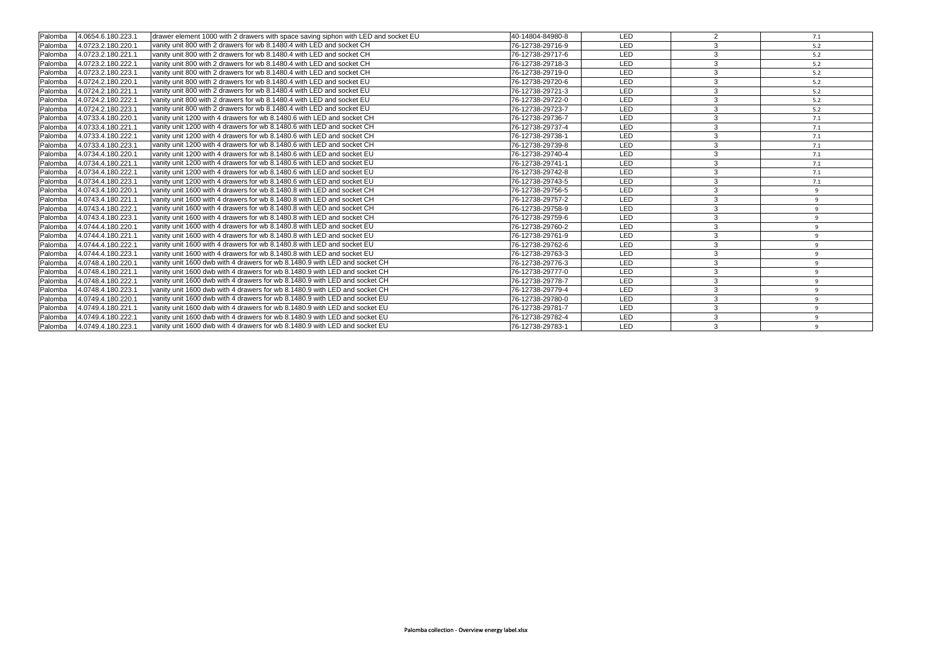| Palomba | 4.0654.6.180.223.  | drawer element 1000 with 2 drawers with space saving siphon with LED and socket EU | 40-14804-84980-8 | LED | 2              | 7.1          |
|---------|--------------------|------------------------------------------------------------------------------------|------------------|-----|----------------|--------------|
| Palomba | 4.0723.2.180.220.1 | vanity unit 800 with 2 drawers for wb 8.1480.4 with LED and socket CH              | 76-12738-29716-9 | LED | 3              | 5.2          |
| Palomba | 4.0723.2.180.221.1 | vanity unit 800 with 2 drawers for wb 8.1480.4 with LED and socket CH              | 76-12738-29717-6 | LED | 3              | 5.2          |
| Palomba | 4.0723.2.180.222.1 | vanity unit 800 with 2 drawers for wb 8.1480.4 with LED and socket CH              | 76-12738-29718-3 | LED | 3              | 5.2          |
| Palomba | 4.0723.2.180.223.  | vanity unit 800 with 2 drawers for wb 8.1480.4 with LED and socket CH              | 76-12738-29719-0 | LED | 3              | 5.2          |
| Palomba | 4.0724.2.180.220.1 | vanity unit 800 with 2 drawers for wb 8.1480.4 with LED and socket EU              | 76-12738-29720-6 | LED | 3              | 5.2          |
| Palomba | 4.0724.2.180.221.1 | vanity unit 800 with 2 drawers for wb 8.1480.4 with LED and socket EU              | 76-12738-29721-3 | LED | 3              | 5.2          |
| Palomba | 4.0724.2.180.222.1 | vanity unit 800 with 2 drawers for wb 8.1480.4 with LED and socket EU              | 76-12738-29722-0 | LED | 3              | 5.2          |
| Palomba | 4.0724.2.180.223.1 | vanity unit 800 with 2 drawers for wb 8.1480.4 with LED and socket EU              | 76-12738-29723-7 | LED | $\mathbf{3}$   | 5.2          |
| Palomba | 4.0733.4.180.220.1 | vanity unit 1200 with 4 drawers for wb 8.1480.6 with LED and socket CH             | 76-12738-29736-7 | LED | 3              | 7.1          |
| Palomba | 4.0733.4.180.221.1 | vanity unit 1200 with 4 drawers for wb 8.1480.6 with LED and socket CH             | 76-12738-29737-4 | LED | $\overline{3}$ | 7.1          |
| Palomba | 4.0733.4.180.222.1 | vanity unit 1200 with 4 drawers for wb 8.1480.6 with LED and socket CH             | 76-12738-29738-1 | LED | 3              | 7.1          |
| Palomba | 4.0733.4.180.223.1 | vanity unit 1200 with 4 drawers for wb 8.1480.6 with LED and socket CH             | 76-12738-29739-8 | LED | 3              | 7.1          |
| Palomba | 4.0734.4.180.220.1 | vanity unit 1200 with 4 drawers for wb 8.1480.6 with LED and socket EU             | 76-12738-29740-4 | LED | 3              | 7.1          |
| Palomba | 4.0734.4.180.221.1 | vanity unit 1200 with 4 drawers for wb 8.1480.6 with LED and socket EU             | 76-12738-29741-1 | LED | 3              | 7.1          |
| Palomba | 4.0734.4.180.222.1 | vanity unit 1200 with 4 drawers for wb 8.1480.6 with LED and socket EU             | 76-12738-29742-8 | LED | 3              | 7.1          |
| Palomba | 4.0734.4.180.223.1 | vanity unit 1200 with 4 drawers for wb 8.1480.6 with LED and socket EU             | 76-12738-29743-5 | LED | 3              | 7.1          |
| Palomba | 4.0743.4.180.220.1 | vanity unit 1600 with 4 drawers for wb 8.1480.8 with LED and socket CH             | 76-12738-29756-5 | LED | 3              |              |
| Palomba | 4.0743.4.180.221.1 | vanity unit 1600 with 4 drawers for wb 8.1480.8 with LED and socket CH             | 76-12738-29757-2 | LED | 3              | q            |
| Palomba | 4.0743.4.180.222.1 | vanity unit 1600 with 4 drawers for wb 8.1480.8 with LED and socket CH             | 76-12738-29758-9 | LED | 3              | 9            |
| Palomba | 4.0743.4.180.223.1 | vanity unit 1600 with 4 drawers for wb 8.1480.8 with LED and socket CH             | 76-12738-29759-6 | LED | 3              | 9            |
| Palomba | 4.0744.4.180.220.1 | vanity unit 1600 with 4 drawers for wb 8.1480.8 with LED and socket EU             | 76-12738-29760-2 | LED | 3              | $\mathbf{q}$ |
| Palomba | 4.0744.4.180.221.1 | vanity unit 1600 with 4 drawers for wb 8.1480.8 with LED and socket EU             | 76-12738-29761-9 | LED | 3              | q            |
| Palomba | 4.0744.4.180.222.1 | vanity unit 1600 with 4 drawers for wb 8.1480.8 with LED and socket EU             | 76-12738-29762-6 | LED | 3              | $\mathbf{q}$ |
| Palomba | 4.0744.4.180.223.1 | vanity unit 1600 with 4 drawers for wb 8.1480.8 with LED and socket EU             | 76-12738-29763-3 | LED | 3              | 9            |
| Palomba | 4.0748.4.180.220.1 | vanity unit 1600 dwb with 4 drawers for wb 8.1480.9 with LED and socket CH         | 76-12738-29776-3 | LED | 3              | q            |
| Palomba | 4.0748.4.180.221.1 | vanity unit 1600 dwb with 4 drawers for wb 8.1480.9 with LED and socket CH         | 76-12738-29777-0 | LED | 3              | 9            |
| Palomba | 4.0748.4.180.222.1 | vanity unit 1600 dwb with 4 drawers for wb 8.1480.9 with LED and socket CH         | 76-12738-29778-7 | LED | 3              | 9            |
| Palomba | 4.0748.4.180.223.1 | vanity unit 1600 dwb with 4 drawers for wb 8.1480.9 with LED and socket CH         | 76-12738-29779-4 | LED | 3              | 9            |
| Palomba | 4.0749.4.180.220.1 | vanity unit 1600 dwb with 4 drawers for wb 8.1480.9 with LED and socket EU         | 76-12738-29780-0 | LED | 3              | $\alpha$     |
| Palomba | 4.0749.4.180.221.1 | vanity unit 1600 dwb with 4 drawers for wb 8.1480.9 with LED and socket EU         | 76-12738-29781-7 | LED | 3              | q            |
| Palomba | 4.0749.4.180.222.1 | vanity unit 1600 dwb with 4 drawers for wb 8.1480.9 with LED and socket EU         | 76-12738-29782-4 | LED | 3              | q            |
| Palomba | 4.0749.4.180.223.1 | vanity unit 1600 dwb with 4 drawers for wb 8.1480.9 with LED and socket EU         | 76-12738-29783-1 | LED |                | 9            |